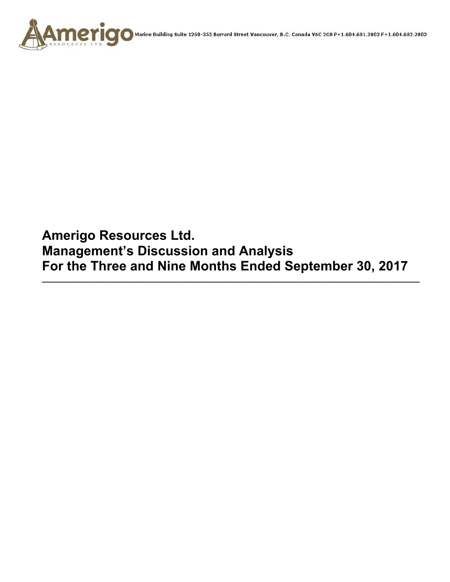

**AMCYICO** Marine Building Suite 1260-355 Burrard Street Vancouver, B.C. Canada V6C 2G8 P+1.604.681.2802 F+1.604.682.2802

**Amerigo Resources Ltd. Management's Discussion and Analysis For the Three and Nine Months Ended September 30, 2017** 

**\_\_\_\_\_\_\_\_\_\_\_\_\_\_\_\_\_\_\_\_\_\_\_\_\_\_\_\_\_\_\_\_\_\_\_\_\_\_\_\_\_\_\_\_\_\_\_\_\_\_\_\_\_\_\_\_\_\_\_\_\_\_\_\_\_\_\_\_\_\_\_\_\_\_\_\_\_\_\_\_\_\_\_\_**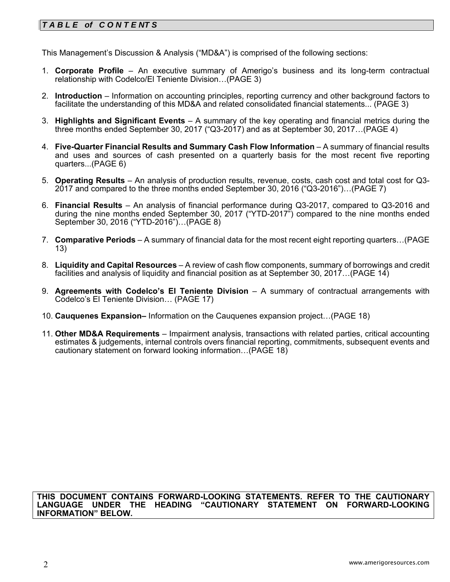## *T A B L E of C O N T E NT S*

This Management's Discussion & Analysis ("MD&A") is comprised of the following sections:

- 1. **Corporate Profile**  An executive summary of Amerigo's business and its long-term contractual relationship with Codelco/El Teniente Division…(PAGE 3)
- 2. **Introduction**  Information on accounting principles, reporting currency and other background factors to facilitate the understanding of this MD&A and related consolidated financial statements... (PAGE 3)
- 3. **Highlights and Significant Events** A summary of the key operating and financial metrics during the three months ended September 30, 2017 ("Q3-2017) and as at September 30, 2017…(PAGE 4)
- 4. **Five-Quarter Financial Results and Summary Cash Flow Information**  A summary of financial results and uses and sources of cash presented on a quarterly basis for the most recent five reporting quarters...(PAGE 6)
- 5. **Operating Results** An analysis of production results, revenue, costs, cash cost and total cost for Q3- 2017 and compared to the three months ended September 30, 2016 ("Q3-2016")…(PAGE 7)
- 6. **Financial Results**  An analysis of financial performance during Q3-2017, compared to Q3-2016 and during the nine months ended September 30, 2017 ("YTD-2017") compared to the nine months ended September 30, 2016 ("YTD-2016")…(PAGE 8)
- 7. **Comparative Periods** A summary of financial data for the most recent eight reporting quarters…(PAGE 13)
- 8. **Liquidity and Capital Resources** A review of cash flow components, summary of borrowings and credit facilities and analysis of liquidity and financial position as at September 30, 2017…(PAGE 14)
- 9. **Agreements with Codelco's El Teniente Division** A summary of contractual arrangements with Codelco's El Teniente Division… (PAGE 17)
- 10. **Cauquenes Expansion–** Information on the Cauquenes expansion project…(PAGE 18)
- 11. **Other MD&A Requirements**  Impairment analysis, transactions with related parties, critical accounting estimates & judgements, internal controls overs financial reporting, commitments, subsequent events and cautionary statement on forward looking information…(PAGE 18)

#### **THIS DOCUMENT CONTAINS FORWARD-LOOKING STATEMENTS. REFER TO THE CAUTIONARY LANGUAGE UNDER THE HEADING "CAUTIONARY STATEMENT ON FORWARD-LOOKING INFORMATION" BELOW.**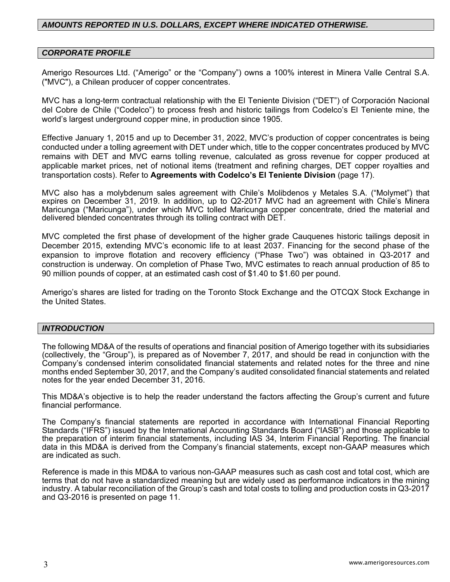### *AMOUNTS REPORTED IN U.S. DOLLARS, EXCEPT WHERE INDICATED OTHERWISE.*

#### *CORPORATE PROFILE*

Amerigo Resources Ltd. ("Amerigo" or the "Company") owns a 100% interest in Minera Valle Central S.A. ("MVC"), a Chilean producer of copper concentrates.

MVC has a long-term contractual relationship with the El Teniente Division ("DET") of Corporación Nacional del Cobre de Chile ("Codelco") to process fresh and historic tailings from Codelco's El Teniente mine, the world's largest underground copper mine, in production since 1905.

Effective January 1, 2015 and up to December 31, 2022, MVC's production of copper concentrates is being conducted under a tolling agreement with DET under which, title to the copper concentrates produced by MVC remains with DET and MVC earns tolling revenue, calculated as gross revenue for copper produced at applicable market prices, net of notional items (treatment and refining charges, DET copper royalties and transportation costs). Refer to **Agreements with Codelco's El Teniente Division** (page 17).

MVC also has a molybdenum sales agreement with Chile's Molibdenos y Metales S.A. ("Molymet") that expires on December 31, 2019. In addition, up to Q2-2017 MVC had an agreement with Chile's Minera Maricunga ("Maricunga"), under which MVC tolled Maricunga copper concentrate, dried the material and delivered blended concentrates through its tolling contract with DET.

MVC completed the first phase of development of the higher grade Cauquenes historic tailings deposit in December 2015, extending MVC's economic life to at least 2037. Financing for the second phase of the expansion to improve flotation and recovery efficiency ("Phase Two") was obtained in Q3-2017 and construction is underway. On completion of Phase Two, MVC estimates to reach annual production of 85 to 90 million pounds of copper, at an estimated cash cost of \$1.40 to \$1.60 per pound.

Amerigo's shares are listed for trading on the Toronto Stock Exchange and the OTCQX Stock Exchange in the United States.

#### *INTRODUCTION*

The following MD&A of the results of operations and financial position of Amerigo together with its subsidiaries (collectively, the "Group"), is prepared as of November 7, 2017, and should be read in conjunction with the Company's condensed interim consolidated financial statements and related notes for the three and nine months ended September 30, 2017, and the Company's audited consolidated financial statements and related notes for the year ended December 31, 2016.

This MD&A's objective is to help the reader understand the factors affecting the Group's current and future financial performance.

The Company's financial statements are reported in accordance with International Financial Reporting Standards ("IFRS") issued by the International Accounting Standards Board ("IASB") and those applicable to the preparation of interim financial statements, including IAS 34, Interim Financial Reporting. The financial data in this MD&A is derived from the Company's financial statements, except non-GAAP measures which are indicated as such.

Reference is made in this MD&A to various non-GAAP measures such as cash cost and total cost, which are terms that do not have a standardized meaning but are widely used as performance indicators in the mining industry. A tabular reconciliation of the Group's cash and total costs to tolling and production costs in Q3-2017 and Q3-2016 is presented on page 11.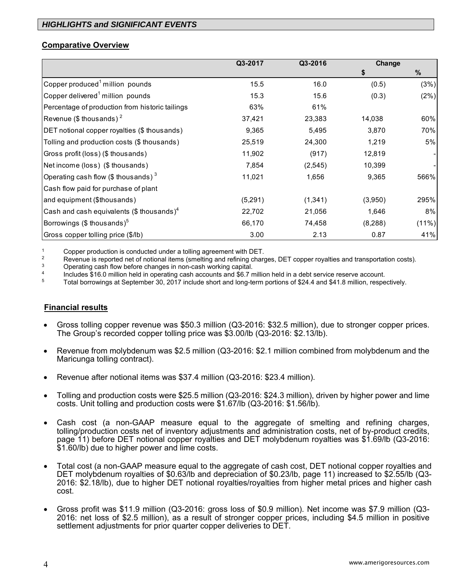## **Comparative Overview**

|                                                       | Q3-2017 | Q3-2016  | Change   |          |
|-------------------------------------------------------|---------|----------|----------|----------|
|                                                       |         |          | S        | $\%$     |
| Copper produced <sup>1</sup> million pounds           | 15.5    | 16.0     | (0.5)    | (3%)     |
| Copper delivered <sup>1</sup> million pounds          | 15.3    | 15.6     | (0.3)    | (2%)     |
| Percentage of production from historic tailings       | 63%     | 61%      |          |          |
| Revenue (\$ thousands) <sup>2</sup>                   | 37,421  | 23,383   | 14,038   | 60%      |
| DET notional copper royalties (\$ thousands)          | 9,365   | 5,495    | 3,870    | 70%      |
| Tolling and production costs (\$ thousands)           | 25,519  | 24,300   | 1,219    | 5%       |
| Gross profit (loss) (\$ thousands)                    | 11,902  | (917)    | 12,819   |          |
| Net income (loss) (\$ thousands)                      | 7,854   | (2,545)  | 10,399   |          |
| Operating cash flow (\$ thousands) $3$                | 11,021  | 1,656    | 9,365    | 566%     |
| Cash flow paid for purchase of plant                  |         |          |          |          |
| and equipment (\$thousands)                           | (5,291) | (1, 341) | (3,950)  | 295%     |
| Cash and cash equivalents (\$ thousands) <sup>4</sup> | 22,702  | 21,056   | 1,646    | 8%       |
| Borrowings (\$ thousands) $5$                         | 66,170  | 74,458   | (8, 288) | $(11\%)$ |
| Gross copper tolling price (\$/lb)                    | 3.00    | 2.13     | 0.87     | 41%      |

- Copper production is conducted under a tolling agreement with DET.<br>
Pevenue is reported net of notional items (smelting and refining charges, DET copper royalties and transportation costs).<br>
9. Operating cash flow before c
- 
- 
- 

### **Financial results**

- Gross tolling copper revenue was \$50.3 million (Q3-2016: \$32.5 million), due to stronger copper prices. The Group's recorded copper tolling price was \$3.00/lb (Q3-2016: \$2.13/lb).
- Revenue from molybdenum was \$2.5 million (Q3-2016: \$2.1 million combined from molybdenum and the Maricunga tolling contract).
- Revenue after notional items was \$37.4 million (Q3-2016: \$23.4 million).
- Tolling and production costs were \$25.5 million (Q3-2016: \$24.3 million), driven by higher power and lime costs. Unit tolling and production costs were \$1.67/lb (Q3-2016: \$1.56/lb).
- Cash cost (a non-GAAP measure equal to the aggregate of smelting and refining charges, tolling/production costs net of inventory adjustments and administration costs, net of by-product credits, page 11) before DET notional copper royalties and DET molybdenum royalties was \$1.69/lb (Q3-2016: \$1.60/lb) due to higher power and lime costs.
- Total cost (a non-GAAP measure equal to the aggregate of cash cost, DET notional copper royalties and DET molybdenum royalties of \$0.63/lb and depreciation of \$0.23/lb, page 11) increased to \$2.55/lb (Q3- 2016: \$2.18/lb), due to higher DET notional royalties/royalties from higher metal prices and higher cash cost.
- Gross profit was \$11.9 million (Q3-2016: gross loss of \$0.9 million). Net income was \$7.9 million (Q3- 2016: net loss of \$2.5 million), as a result of stronger copper prices, including \$4.5 million in positive settlement adjustments for prior quarter copper deliveries to DET.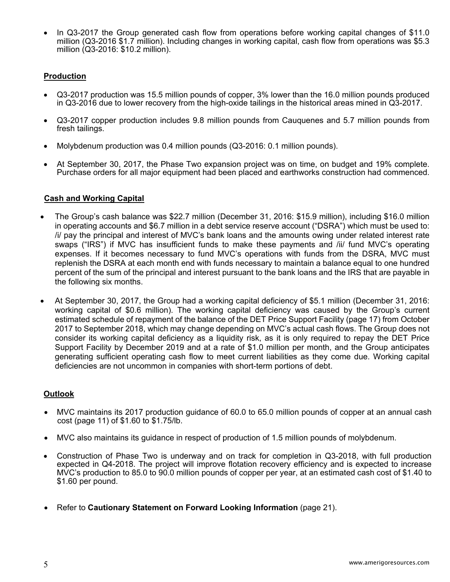In Q3-2017 the Group generated cash flow from operations before working capital changes of \$11.0 million (Q3-2016 \$1.7 million). Including changes in working capital, cash flow from operations was \$5.3 million (Q3-2016: \$10.2 million).

### **Production**

- Q3-2017 production was 15.5 million pounds of copper, 3% lower than the 16.0 million pounds produced in Q3-2016 due to lower recovery from the high-oxide tailings in the historical areas mined in Q3-2017.
- Q3-2017 copper production includes 9.8 million pounds from Cauquenes and 5.7 million pounds from fresh tailings.
- Molybdenum production was 0.4 million pounds (Q3-2016: 0.1 million pounds).
- At September 30, 2017, the Phase Two expansion project was on time, on budget and 19% complete. Purchase orders for all major equipment had been placed and earthworks construction had commenced.

### **Cash and Working Capital**

- The Group's cash balance was \$22.7 million (December 31, 2016: \$15.9 million), including \$16.0 million in operating accounts and \$6.7 million in a debt service reserve account ("DSRA") which must be used to: /i/ pay the principal and interest of MVC's bank loans and the amounts owing under related interest rate swaps ("IRS") if MVC has insufficient funds to make these payments and /ii/ fund MVC's operating expenses. If it becomes necessary to fund MVC's operations with funds from the DSRA, MVC must replenish the DSRA at each month end with funds necessary to maintain a balance equal to one hundred percent of the sum of the principal and interest pursuant to the bank loans and the IRS that are payable in the following six months.
- At September 30, 2017, the Group had a working capital deficiency of \$5.1 million (December 31, 2016: working capital of \$0.6 million). The working capital deficiency was caused by the Group's current estimated schedule of repayment of the balance of the DET Price Support Facility (page 17) from October 2017 to September 2018, which may change depending on MVC's actual cash flows. The Group does not consider its working capital deficiency as a liquidity risk, as it is only required to repay the DET Price Support Facility by December 2019 and at a rate of \$1.0 million per month, and the Group anticipates generating sufficient operating cash flow to meet current liabilities as they come due. Working capital deficiencies are not uncommon in companies with short-term portions of debt.

### **Outlook**

- MVC maintains its 2017 production guidance of 60.0 to 65.0 million pounds of copper at an annual cash cost (page 11) of \$1.60 to \$1.75/lb.
- MVC also maintains its guidance in respect of production of 1.5 million pounds of molybdenum.
- Construction of Phase Two is underway and on track for completion in Q3-2018, with full production expected in Q4-2018. The project will improve flotation recovery efficiency and is expected to increase MVC's production to 85.0 to 90.0 million pounds of copper per year, at an estimated cash cost of \$1.40 to \$1.60 per pound.
- Refer to **Cautionary Statement on Forward Looking Information** (page 21).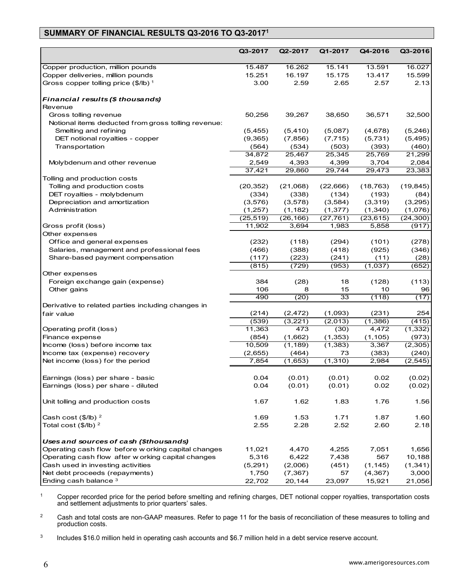## **SUMMARY OF FINANCIAL RESULTS Q3-2016 TO Q3-20171**

|                                                     | Q3-2017   | Q2-2017   | Q1-2017   | Q4-2016   | Q3-2016   |
|-----------------------------------------------------|-----------|-----------|-----------|-----------|-----------|
| Copper production, million pounds                   | 15.487    | 16.262    | 15.141    | 13.591    | 16.027    |
| Copper deliveries, million pounds                   | 15.251    | 16.197    | 15.175    | 13.417    | 15.599    |
| Gross copper tolling price (\$/lb) <sup>1</sup>     | 3.00      | 2.59      | 2.65      | 2.57      | 2.13      |
| Financial results (\$ thousands)                    |           |           |           |           |           |
| Revenue                                             |           |           |           |           |           |
| Gross tolling revenue                               | 50,256    | 39,267    | 38,650    | 36,571    | 32,500    |
| Notional items deducted from gross tolling revenue: |           |           |           |           |           |
| Smelting and refining                               | (5, 455)  | (5, 410)  | (5,087)   | (4,678)   | (5, 246)  |
| DET notional royalties - copper                     | (9,365)   | (7, 856)  | (7, 715)  | (5,731)   | (5, 495)  |
| Transportation                                      | (564)     | (534)     | (503)     | (393)     | (460)     |
|                                                     | 34,872    | 25,467    | 25,345    | 25,769    | 21,299    |
| Molybdenum and other revenue                        | 2,549     | 4,393     | 4,399     | 3,704     | 2,084     |
|                                                     | 37,421    | 29,860    | 29,744    | 29,473    | 23,383    |
| Tolling and production costs                        |           |           |           |           |           |
| Tolling and production costs                        | (20, 352) | (21,068)  | (22, 666) | (18, 763) | (19, 845) |
| DET royalties - molybdenum                          | (334)     | (338)     | (134)     | (193)     | (84)      |
| Depreciation and amortization                       | (3, 576)  | (3, 578)  | (3, 584)  | (3,319)   | (3,295)   |
| Administration                                      | (1,257)   | (1, 182)  | (1, 377)  | (1, 340)  | (1,076)   |
|                                                     | (25, 519) | (26, 166) | (27, 761) | (23, 615) | (24, 300) |
| Gross profit (loss)                                 | 11,902    | 3,694     | 1,983     | 5,858     | (917)     |
| Other expenses                                      |           |           |           |           |           |
| Office and general expenses                         | (232)     | (118)     | (294)     | (101)     | (278)     |
| Salaries, management and professional fees          | (466)     | (388)     | (418)     | (925)     | (346)     |
| Share-based payment compensation                    | (117)     | (223)     | (241)     | (11)      | (28)      |
|                                                     | (815)     | (729)     | (953)     | (1,037)   | (652)     |
| Other expenses                                      |           |           |           |           |           |
| Foreign exchange gain (expense)                     | 384       | (28)      | 18        | (128)     | (113)     |
| Other gains                                         | 106       | 8         | 15        | 10        | 96        |
|                                                     | 490       | (20)      | 33        | (118)     | (17)      |
| Derivative to related parties including changes in  |           |           |           |           |           |
| fair value                                          | (214)     | (2, 472)  | (1,093)   | (231)     | 254       |
|                                                     | (539)     | (3,221)   | (2,013)   | (1,386)   | (415)     |
| Operating profit (loss)                             | 11,363    | 473       | (30)      | 4,472     | (1, 332)  |
| Finance expense                                     | (854)     | (1,662)   | (1, 353)  | (1, 105)  | (973)     |
| Income (loss) before income tax                     | 10,509    | (1, 189)  | (1,383)   | 3,367     | (2,305)   |
| Income tax (expense) recovery                       | (2,655)   | (464)     | 73        | (383)     | (240)     |
| Net income (loss) for the period                    | 7,854     | (1,653)   | (1, 310)  | 2,984     | (2, 545)  |
|                                                     |           |           |           |           |           |
| Earnings (loss) per share - basic                   | 0.04      | (0.01)    | (0.01)    | 0.02      | (0.02)    |
| Earnings (loss) per share - diluted                 | 0.04      | (0.01)    | (0.01)    | 0.02      | (0.02)    |
| Unit tolling and production costs                   | 1.67      | 1.62      | 1.83      | 1.76      | 1.56      |
| Cash cost $(\$/IB)^2$                               | 1.69      | 1.53      | 1.71      | 1.87      | 1.60      |
| Total cost $($/lb)^2$                               | 2.55      | 2.28      | 2.52      | 2.60      | 2.18      |
| Uses and sources of cash (\$thousands)              |           |           |           |           |           |
| Operating cash flow before w orking capital changes | 11,021    | 4,470     | 4,255     | 7,051     | 1,656     |
| Operating cash flow after w orking capital changes  | 5,316     | 6,422     | 7,438     | 567       | 10,188    |
| Cash used in investing activities                   | (5,291)   | (2,006)   | (451)     | (1, 145)  | (1, 341)  |
| Net debt proceeds (repayments)                      | 1,750     | (7, 367)  | 57        | (4, 367)  | 3,000     |
| Ending cash balance <sup>3</sup>                    | 22,702    | 20,144    | 23,097    | 15,921    | 21,056    |

 $1$  Copper recorded price for the period before smelting and refining charges, DET notional copper royalties, transportation costs and settlement adjustments to prior quarters' sales.

<sup>2</sup> Cash and total costs are non-GAAP measures. Refer to page 11 for the basis of reconciliation of these measures to tolling and production costs.

<sup>3</sup> Includes \$16.0 million held in operating cash accounts and \$6.7 million held in a debt service reserve account.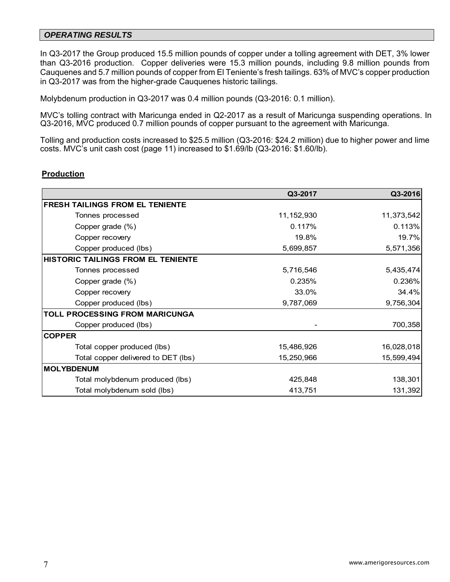### *OPERATING RESULTS*

In Q3-2017 the Group produced 15.5 million pounds of copper under a tolling agreement with DET, 3% lower than Q3-2016 production. Copper deliveries were 15.3 million pounds, including 9.8 million pounds from Cauquenes and 5.7 million pounds of copper from El Teniente's fresh tailings. 63% of MVC's copper production in Q3-2017 was from the higher-grade Cauquenes historic tailings.

Molybdenum production in Q3-2017 was 0.4 million pounds (Q3-2016: 0.1 million).

MVC's tolling contract with Maricunga ended in Q2-2017 as a result of Maricunga suspending operations. In Q3-2016, MVC produced 0.7 million pounds of copper pursuant to the agreement with Maricunga.

Tolling and production costs increased to \$25.5 million (Q3-2016: \$24.2 million) due to higher power and lime costs. MVC's unit cash cost (page 11) increased to \$1.69/lb (Q3-2016: \$1.60/lb).

#### **Production**

|                                           | Q3-2017      | Q3-2016    |
|-------------------------------------------|--------------|------------|
| <b>FRESH TAILINGS FROM EL TENIENTE</b>    |              |            |
| Tonnes processed                          | 11, 152, 930 | 11,373,542 |
| Copper grade (%)                          | 0.117%       | 0.113%     |
| Copper recovery                           | 19.8%        | 19.7%      |
| Copper produced (lbs)                     | 5,699,857    | 5,571,356  |
| <b>HISTORIC TAILINGS FROM EL TENIENTE</b> |              |            |
| Tonnes processed                          | 5,716,546    | 5,435,474  |
| Copper grade (%)                          | 0.235%       | 0.236%     |
| Copper recovery                           | 33.0%        | 34.4%      |
| Copper produced (lbs)                     | 9,787,069    | 9,756,304  |
| <b>TOLL PROCESSING FROM MARICUNGA</b>     |              |            |
| Copper produced (lbs)                     |              | 700,358    |
| <b>COPPER</b>                             |              |            |
| Total copper produced (lbs)               | 15,486,926   | 16,028,018 |
| Total copper delivered to DET (lbs)       | 15,250,966   | 15,599,494 |
| <b>MOLYBDENUM</b>                         |              |            |
| Total molybdenum produced (lbs)           | 425,848      | 138,301    |
| Total molybdenum sold (lbs)               | 413,751      | 131,392    |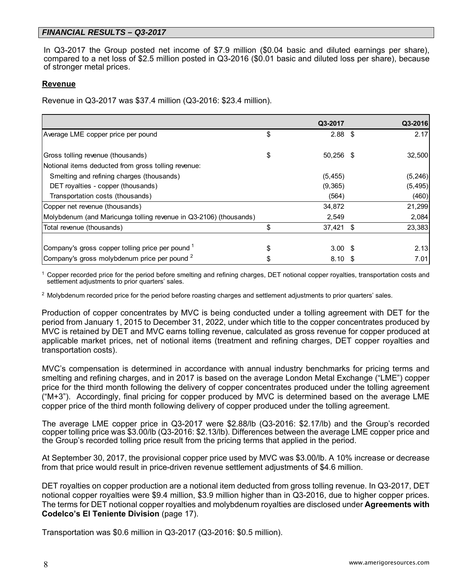### *FINANCIAL RESULTS – Q3-2017*

In Q3-2017 the Group posted net income of \$7.9 million (\$0.04 basic and diluted earnings per share), compared to a net loss of \$2.5 million posted in Q3-2016 (\$0.01 basic and diluted loss per share), because of stronger metal prices.

#### **Revenue**

Revenue in Q3-2017 was \$37.4 million (Q3-2016: \$23.4 million).

|                                                                   | Q3-2017           | Q3-2016  |
|-------------------------------------------------------------------|-------------------|----------|
| Average LME copper price per pound                                | \$<br>$2.88$ \$   | 2.17     |
| Gross tolling revenue (thousands)                                 | \$<br>50,256 \$   | 32,500   |
| Notional items deducted from gross tolling revenue:               |                   |          |
| Smelting and refining charges (thousands)                         | (5, 455)          | (5, 246) |
| DET royalties - copper (thousands)                                | (9, 365)          | (5, 495) |
| Transportation costs (thousands)                                  | (564)             | (460)    |
| Copper net revenue (thousands)                                    | 34,872            | 21,299   |
| Molybdenum (and Maricunga tolling revenue in Q3-2106) (thousands) | 2,549             | 2,084    |
| Total revenue (thousands)                                         | \$<br>$37,421$ \$ | 23,383   |
|                                                                   |                   |          |
| Company's gross copper tolling price per pound 1                  | $3.00$ \$         | 2.13     |
| Company's gross molybdenum price per pound <sup>2</sup>           | $8.10$ \$         | 7.01     |

1 Copper recorded price for the period before smelting and refining charges, DET notional copper royalties, transportation costs and settlement adjustments to prior quarters' sales.

<sup>2</sup> Molybdenum recorded price for the period before roasting charges and settlement adjustments to prior quarters' sales.

Production of copper concentrates by MVC is being conducted under a tolling agreement with DET for the period from January 1, 2015 to December 31, 2022, under which title to the copper concentrates produced by MVC is retained by DET and MVC earns tolling revenue, calculated as gross revenue for copper produced at applicable market prices, net of notional items (treatment and refining charges, DET copper royalties and transportation costs).

MVC's compensation is determined in accordance with annual industry benchmarks for pricing terms and smelting and refining charges, and in 2017 is based on the average London Metal Exchange ("LME") copper price for the third month following the delivery of copper concentrates produced under the tolling agreement ("M+3"). Accordingly, final pricing for copper produced by MVC is determined based on the average LME copper price of the third month following delivery of copper produced under the tolling agreement.

The average LME copper price in Q3-2017 were \$2.88/lb (Q3-2016: \$2.17/lb) and the Group's recorded copper tolling price was \$3.00/lb (Q3-2016: \$2.13/lb). Differences between the average LME copper price and the Group's recorded tolling price result from the pricing terms that applied in the period.

At September 30, 2017, the provisional copper price used by MVC was \$3.00/lb. A 10% increase or decrease from that price would result in price-driven revenue settlement adjustments of \$4.6 million.

DET royalties on copper production are a notional item deducted from gross tolling revenue. In Q3-2017, DET notional copper royalties were \$9.4 million, \$3.9 million higher than in Q3-2016, due to higher copper prices. The terms for DET notional copper royalties and molybdenum royalties are disclosed under **Agreements with Codelco's El Teniente Division** (page 17).

Transportation was \$0.6 million in Q3-2017 (Q3-2016: \$0.5 million).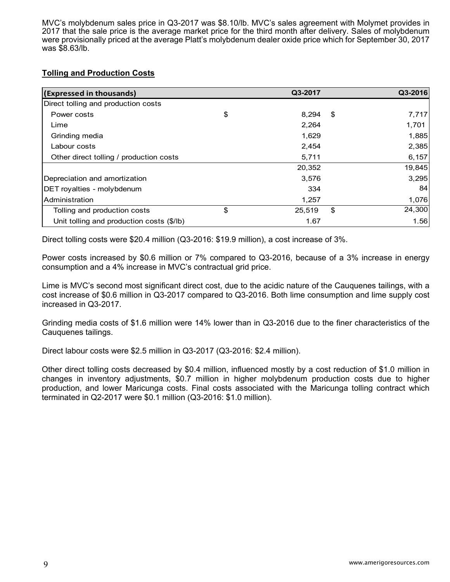MVC's molybdenum sales price in Q3-2017 was \$8.10/lb. MVC's sales agreement with Molymet provides in 2017 that the sale price is the average market price for the third month after delivery. Sales of molybdenum were provisionally priced at the average Platt's molybdenum dealer oxide price which for September 30, 2017 was \$8.63/lb.

### **Tolling and Production Costs**

| (Expressed in thousands)                  | Q3-2017      |     | Q3-2016 |
|-------------------------------------------|--------------|-----|---------|
| Direct tolling and production costs       |              |     |         |
| Power costs                               | \$<br>8,294  | -\$ | 7,717   |
| Lime                                      | 2,264        |     | 1,701   |
| Grinding media                            | 1,629        |     | 1,885   |
| Labour costs                              | 2,454        |     | 2,385   |
| Other direct tolling / production costs   | 5,711        |     | 6,157   |
|                                           | 20,352       |     | 19,845  |
| Depreciation and amortization             | 3,576        |     | 3,295   |
| <b>DET</b> royalties - molybdenum         | 334          |     | 84      |
| Administration                            | 1,257        |     | 1,076   |
| Tolling and production costs              | \$<br>25.519 | \$  | 24,300  |
| Unit tolling and production costs (\$/lb) | 1.67         |     | 1.56    |

Direct tolling costs were \$20.4 million (Q3-2016: \$19.9 million), a cost increase of 3%.

Power costs increased by \$0.6 million or 7% compared to Q3-2016, because of a 3% increase in energy consumption and a 4% increase in MVC's contractual grid price.

Lime is MVC's second most significant direct cost, due to the acidic nature of the Cauquenes tailings, with a cost increase of \$0.6 million in Q3-2017 compared to Q3-2016. Both lime consumption and lime supply cost increased in Q3-2017.

Grinding media costs of \$1.6 million were 14% lower than in Q3-2016 due to the finer characteristics of the Cauquenes tailings.

Direct labour costs were \$2.5 million in Q3-2017 (Q3-2016: \$2.4 million).

Other direct tolling costs decreased by \$0.4 million, influenced mostly by a cost reduction of \$1.0 million in changes in inventory adjustments, \$0.7 million in higher molybdenum production costs due to higher production, and lower Maricunga costs. Final costs associated with the Maricunga tolling contract which terminated in Q2-2017 were \$0.1 million (Q3-2016: \$1.0 million).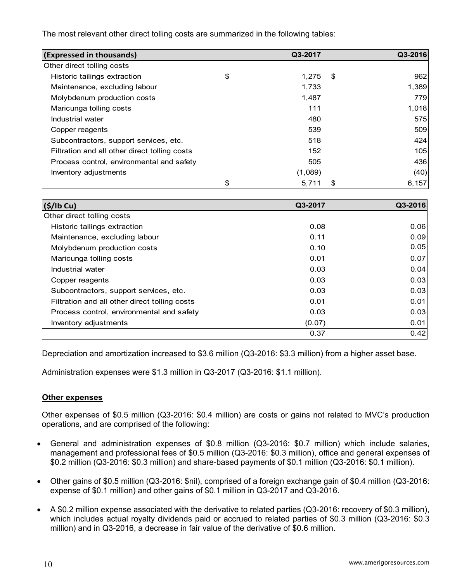The most relevant other direct tolling costs are summarized in the following tables:

| (Expressed in thousands)                      | Q3-2017     | Q3-2016     |
|-----------------------------------------------|-------------|-------------|
| Other direct tolling costs                    |             |             |
| Historic tailings extraction                  | \$<br>1.275 | \$<br>962   |
| Maintenance, excluding labour                 | 1,733       | 1,389       |
| Molybdenum production costs                   | 1,487       | 779         |
| Maricunga tolling costs                       | 111         | 1,018       |
| Industrial water                              | 480         | 575         |
| Copper reagents                               | 539         | 509         |
| Subcontractors, support services, etc.        | 518         | 424         |
| Filtration and all other direct tolling costs | 152         | 105         |
| Process control, environmental and safety     | 505         | 436         |
| Inventory adjustments                         | (1,089)     | (40)        |
|                                               | \$<br>5.711 | \$<br>6,157 |

| (S/lb Cu)                                     | Q3-2017 | Q3-2016 |
|-----------------------------------------------|---------|---------|
| Other direct tolling costs                    |         |         |
| Historic tailings extraction                  | 0.08    | 0.06    |
| Maintenance, excluding labour                 | 0.11    | 0.09    |
| Molybdenum production costs                   | 0.10    | 0.05    |
| Maricunga tolling costs                       | 0.01    | 0.07    |
| Industrial water                              | 0.03    | 0.04    |
| Copper reagents                               | 0.03    | 0.03    |
| Subcontractors, support services, etc.        | 0.03    | 0.03    |
| Filtration and all other direct tolling costs | 0.01    | 0.01    |
| Process control, environmental and safety     | 0.03    | 0.03    |
| Inventory adjustments                         | (0.07)  | 0.01    |
|                                               | 0.37    | 0.42    |

Depreciation and amortization increased to \$3.6 million (Q3-2016: \$3.3 million) from a higher asset base.

Administration expenses were \$1.3 million in Q3-2017 (Q3-2016: \$1.1 million).

### **Other expenses**

Other expenses of \$0.5 million (Q3-2016: \$0.4 million) are costs or gains not related to MVC's production operations, and are comprised of the following:

- General and administration expenses of \$0.8 million (Q3-2016: \$0.7 million) which include salaries, management and professional fees of \$0.5 million (Q3-2016: \$0.3 million), office and general expenses of \$0.2 million (Q3-2016: \$0.3 million) and share-based payments of \$0.1 million (Q3-2016: \$0.1 million).
- Other gains of \$0.5 million (Q3-2016: \$nil), comprised of a foreign exchange gain of \$0.4 million (Q3-2016: expense of \$0.1 million) and other gains of \$0.1 million in Q3-2017 and Q3-2016.
- A \$0.2 million expense associated with the derivative to related parties (Q3-2016: recovery of \$0.3 million), which includes actual royalty dividends paid or accrued to related parties of \$0.3 million (Q3-2016: \$0.3 million) and in Q3-2016, a decrease in fair value of the derivative of \$0.6 million.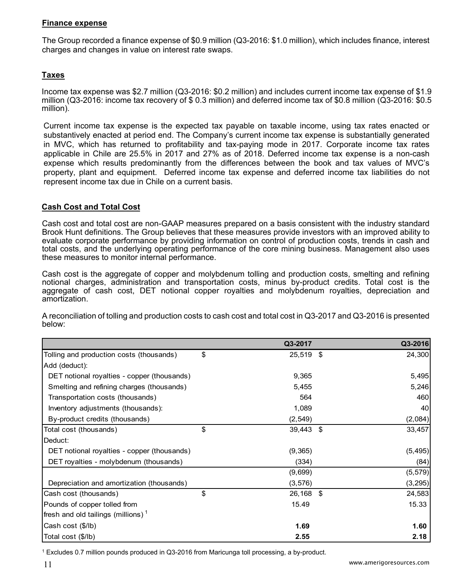#### **Finance expense**

The Group recorded a finance expense of \$0.9 million (Q3-2016: \$1.0 million), which includes finance, interest charges and changes in value on interest rate swaps.

### **Taxes**

Income tax expense was \$2.7 million (Q3-2016: \$0.2 million) and includes current income tax expense of \$1.9 million (Q3-2016: income tax recovery of \$ 0.3 million) and deferred income tax of \$0.8 million (Q3-2016: \$0.5 million).

Current income tax expense is the expected tax payable on taxable income, using tax rates enacted or substantively enacted at period end. The Company's current income tax expense is substantially generated in MVC, which has returned to profitability and tax-paying mode in 2017. Corporate income tax rates applicable in Chile are 25.5% in 2017 and 27% as of 2018. Deferred income tax expense is a non-cash expense which results predominantly from the differences between the book and tax values of MVC's property, plant and equipment. Deferred income tax expense and deferred income tax liabilities do not represent income tax due in Chile on a current basis.

#### **Cash Cost and Total Cost**

Cash cost and total cost are non-GAAP measures prepared on a basis consistent with the industry standard Brook Hunt definitions. The Group believes that these measures provide investors with an improved ability to evaluate corporate performance by providing information on control of production costs, trends in cash and total costs, and the underlying operating performance of the core mining business. Management also uses these measures to monitor internal performance.

Cash cost is the aggregate of copper and molybdenum tolling and production costs, smelting and refining notional charges, administration and transportation costs, minus by-product credits. Total cost is the aggregate of cash cost, DET notional copper royalties and molybdenum royalties, depreciation and amortization.

|                                                | Q3-2017         | Q3-2016  |
|------------------------------------------------|-----------------|----------|
| Tolling and production costs (thousands)       | \$<br>25,519 \$ | 24,300   |
| Add (deduct):                                  |                 |          |
| DET notional royalties - copper (thousands)    | 9,365           | 5,495    |
| Smelting and refining charges (thousands)      | 5,455           | 5,246    |
| Transportation costs (thousands)               | 564             | 460      |
| Inventory adjustments (thousands):             | 1,089           | 40       |
| By-product credits (thousands)                 | (2, 549)        | (2,084)  |
| Total cost (thousands)                         | \$<br>39,443 \$ | 33,457   |
| Deduct:                                        |                 |          |
| DET notional royalties - copper (thousands)    | (9, 365)        | (5, 495) |
| DET royalties - molybdenum (thousands)         | (334)           | (84)     |
|                                                | (9,699)         | (5, 579) |
| Depreciation and amortization (thousands)      | (3, 576)        | (3, 295) |
| Cash cost (thousands)                          | \$<br>26,168 \$ | 24,583   |
| Pounds of copper tolled from                   | 15.49           | 15.33    |
| fresh and old tailings (millions) <sup>1</sup> |                 |          |
| Cash cost (\$/lb)                              | 1.69            | 1.60     |
| Total cost (\$/lb)                             | 2.55            | 2.18     |

A reconciliation of tolling and production costs to cash cost and total cost in Q3-2017 and Q3-2016 is presented below:

1 Excludes 0.7 million pounds produced in Q3-2016 from Maricunga toll processing, a by-product.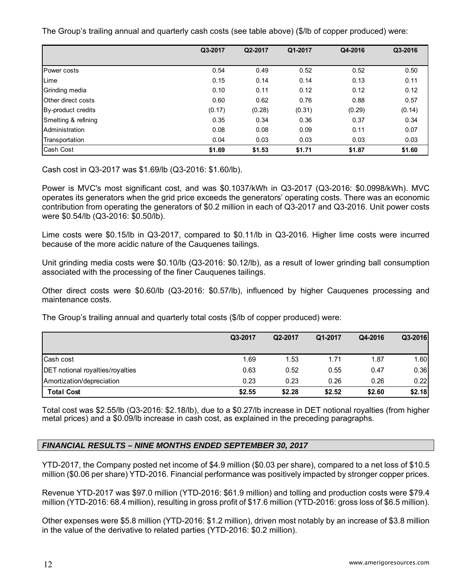The Group's trailing annual and quarterly cash costs (see table above) (\$/lb of copper produced) were:

|                     | Q3-2017 | Q2-2017 | Q1-2017 | Q4-2016 | Q3-2016 |
|---------------------|---------|---------|---------|---------|---------|
|                     |         |         |         |         |         |
| <b>Power costs</b>  | 0.54    | 0.49    | 0.52    | 0.52    | 0.50    |
| Lime                | 0.15    | 0.14    | 0.14    | 0.13    | 0.11    |
| Grinding media      | 0.10    | 0.11    | 0.12    | 0.12    | 0.12    |
| Other direct costs  | 0.60    | 0.62    | 0.76    | 0.88    | 0.57    |
| By-product credits  | (0.17)  | (0.28)  | (0.31)  | (0.29)  | (0.14)  |
| Smelting & refining | 0.35    | 0.34    | 0.36    | 0.37    | 0.34    |
| Administration      | 0.08    | 0.08    | 0.09    | 0.11    | 0.07    |
| Transportation      | 0.04    | 0.03    | 0.03    | 0.03    | 0.03    |
| <b>Cash Cost</b>    | \$1.69  | \$1.53  | \$1.71  | \$1.87  | \$1.60  |

Cash cost in Q3-2017 was \$1.69/lb (Q3-2016: \$1.60/lb).

Power is MVC's most significant cost, and was \$0.1037/kWh in Q3-2017 (Q3-2016: \$0.0998/kWh). MVC operates its generators when the grid price exceeds the generators' operating costs. There was an economic contribution from operating the generators of \$0.2 million in each of Q3-2017 and Q3-2016. Unit power costs were \$0.54/lb (Q3-2016: \$0.50/lb).

Lime costs were \$0.15/lb in Q3-2017, compared to \$0.11/lb in Q3-2016. Higher lime costs were incurred because of the more acidic nature of the Cauquenes tailings.

Unit grinding media costs were \$0.10/lb (Q3-2016: \$0.12/lb), as a result of lower grinding ball consumption associated with the processing of the finer Cauquenes tailings.

Other direct costs were \$0.60/lb (Q3-2016: \$0.57/lb), influenced by higher Cauquenes processing and maintenance costs.

The Group's trailing annual and quarterly total costs (\$/lb of copper produced) were:

|                                         | Q3-2017 | Q2-2017 | Q1-2017 | Q4-2016 | Q3-2016 |
|-----------------------------------------|---------|---------|---------|---------|---------|
| Cash cost                               | 1.69    | 1.53    | 1.71    | 1.87    | 1.60    |
| <b>DET</b> notional royalties/royalties | 0.63    | 0.52    | 0.55    | 0.47    | 0.36    |
| Amortization/depreciation               | 0.23    | 0.23    | 0.26    | 0.26    | 0.22    |
| <b>Total Cost</b>                       | \$2.55  | \$2.28  | \$2.52  | \$2.60  | \$2.18  |

Total cost was \$2.55/lb (Q3-2016: \$2.18/lb), due to a \$0.27/lb increase in DET notional royalties (from higher metal prices) and a \$0.09/lb increase in cash cost, as explained in the preceding paragraphs.

## *FINANCIAL RESULTS – NINE MONTHS ENDED SEPTEMBER 30, 2017*

YTD-2017, the Company posted net income of \$4.9 million (\$0.03 per share), compared to a net loss of \$10.5 million (\$0.06 per share) YTD-2016. Financial performance was positively impacted by stronger copper prices.

Revenue YTD-2017 was \$97.0 million (YTD-2016: \$61.9 million) and tolling and production costs were \$79.4 million (YTD-2016: 68.4 million), resulting in gross profit of \$17.6 million (YTD-2016: gross loss of \$6.5 million).

Other expenses were \$5.8 million (YTD-2016: \$1.2 million), driven most notably by an increase of \$3.8 million in the value of the derivative to related parties (YTD-2016: \$0.2 million).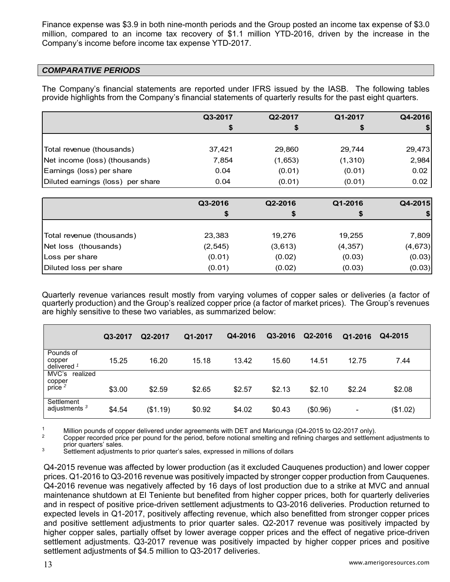Finance expense was \$3.9 in both nine-month periods and the Group posted an income tax expense of \$3.0 million, compared to an income tax recovery of \$1.1 million YTD-2016, driven by the increase in the Company's income before income tax expense YTD-2017.

### *COMPARATIVE PERIODS*

The Company's financial statements are reported under IFRS issued by the IASB. The following tables provide highlights from the Company's financial statements of quarterly results for the past eight quarters.

|                                   | Q3-2017  | Q2-2017 | Q1-2017  | Q4-2016  |
|-----------------------------------|----------|---------|----------|----------|
|                                   | \$       | \$      | \$       |          |
|                                   |          |         |          |          |
| Total revenue (thousands)         | 37,421   | 29,860  | 29,744   | 29,473   |
| Net income (loss) (thousands)     | 7,854    | (1,653) | (1, 310) | 2,984    |
| Earnings (loss) per share         | 0.04     | (0.01)  | (0.01)   | 0.02     |
| Diluted earnings (loss) per share | 0.04     | (0.01)  | (0.01)   | 0.02     |
|                                   |          |         |          |          |
|                                   | Q3-2016  | Q2-2016 | Q1-2016  | Q4-2015  |
|                                   | S        | \$      | S        |          |
|                                   |          |         |          |          |
| Total revenue (thousands)         | 23,383   | 19,276  | 19,255   | 7,809    |
| Net loss (thousands)              | (2, 545) | (3,613) | (4, 357) | (4, 673) |
| Loss per share                    | (0.01)   | (0.02)  | (0.03)   | (0.03)   |
| Diluted loss per share            | (0.01)   | (0.02)  | (0.03)   | (0.03)   |

Quarterly revenue variances result mostly from varying volumes of copper sales or deliveries (a factor of quarterly production) and the Group's realized copper price (a factor of market prices). The Group's revenues are highly sensitive to these two variables, as summarized below:

|                                                   | Q3-2017 | Q2-2017  | Q1-2017 | Q4-2016 | Q3-2016 | Q2-2016  | Q1-2016 | Q4-2015  |
|---------------------------------------------------|---------|----------|---------|---------|---------|----------|---------|----------|
| Pounds of<br>copper<br>delivered $1$              | 15.25   | 16.20    | 15.18   | 13.42   | 15.60   | 14.51    | 12.75   | 7.44     |
| MVC's<br>realized<br>copper<br>price <sup>2</sup> | \$3.00  | \$2.59   | \$2.65  | \$2.57  | \$2.13  | \$2.10   | \$2.24  | \$2.08   |
| Settlement<br>adjustments $3$                     | \$4.54  | (\$1.19) | \$0.92  | \$4.02  | \$0.43  | (\$0.96) | ٠       | (\$1.02) |

<sup>1</sup> Million pounds of copper delivered under agreements with DET and Maricunga (Q4-2015 to Q2-2017 only).<br><sup>2</sup> Copper recorded price per pound for the period, before notional smelting and refining charges and settlement ad

<sup>3</sup> Settlement adjustments to prior quarter's sales, expressed in millions of dollars

Q4-2015 revenue was affected by lower production (as it excluded Cauquenes production) and lower copper prices. Q1-2016 to Q3-2016 revenue was positively impacted by stronger copper production from Cauquenes. Q4-2016 revenue was negatively affected by 16 days of lost production due to a strike at MVC and annual maintenance shutdown at El Teniente but benefited from higher copper prices, both for quarterly deliveries and in respect of positive price-driven settlement adjustments to Q3-2016 deliveries. Production returned to expected levels in Q1-2017, positively affecting revenue, which also benefitted from stronger copper prices and positive settlement adjustments to prior quarter sales. Q2-2017 revenue was positively impacted by higher copper sales, partially offset by lower average copper prices and the effect of negative price-driven settlement adjustments. Q3-2017 revenue was positively impacted by higher copper prices and positive settlement adjustments of \$4.5 million to Q3-2017 deliveries.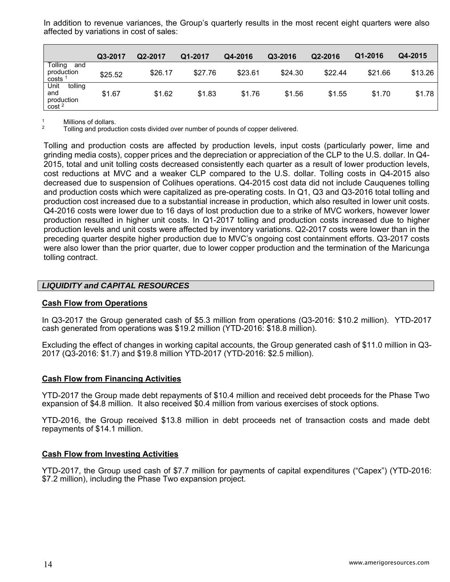In addition to revenue variances, the Group's quarterly results in the most recent eight quarters were also affected by variations in cost of sales:

|                                                   | Q3-2017 | Q2-2017 | Q1-2017 | Q4-2016 | Q3-2016 | Q2-2016 | Q1-2016 | Q4-2015 |
|---------------------------------------------------|---------|---------|---------|---------|---------|---------|---------|---------|
| Tolling<br>and<br>production<br>costs             | \$25.52 | \$26.17 | \$27.76 | \$23.61 | \$24.30 | \$22.44 | \$21.66 | \$13.26 |
| tolling<br>Unit<br>and<br>production<br>$\cosh^2$ | \$1.67  | \$1.62  | \$1.83  | \$1.76  | \$1.56  | \$1.55  | \$1.70  | \$1.78  |

 $\frac{1}{2}$  Millions of dollars.

2 Tolling and production costs divided over number of pounds of copper delivered.

Tolling and production costs are affected by production levels, input costs (particularly power, lime and grinding media costs), copper prices and the depreciation or appreciation of the CLP to the U.S. dollar. In Q4- 2015, total and unit tolling costs decreased consistently each quarter as a result of lower production levels, cost reductions at MVC and a weaker CLP compared to the U.S. dollar. Tolling costs in Q4-2015 also decreased due to suspension of Colihues operations. Q4-2015 cost data did not include Cauquenes tolling and production costs which were capitalized as pre-operating costs. In Q1, Q3 and Q3-2016 total tolling and production cost increased due to a substantial increase in production, which also resulted in lower unit costs. Q4-2016 costs were lower due to 16 days of lost production due to a strike of MVC workers, however lower production resulted in higher unit costs. In Q1-2017 tolling and production costs increased due to higher production levels and unit costs were affected by inventory variations. Q2-2017 costs were lower than in the preceding quarter despite higher production due to MVC's ongoing cost containment efforts. Q3-2017 costs were also lower than the prior quarter, due to lower copper production and the termination of the Maricunga tolling contract.

#### *LIQUIDITY and CAPITAL RESOURCES*

#### **Cash Flow from Operations**

In Q3-2017 the Group generated cash of \$5.3 million from operations (Q3-2016: \$10.2 million). YTD-2017 cash generated from operations was \$19.2 million (YTD-2016: \$18.8 million).

Excluding the effect of changes in working capital accounts, the Group generated cash of \$11.0 million in Q3- 2017 (Q3-2016: \$1.7) and \$19.8 million YTD-2017 (YTD-2016: \$2.5 million).

#### **Cash Flow from Financing Activities**

YTD-2017 the Group made debt repayments of \$10.4 million and received debt proceeds for the Phase Two expansion of \$4.8 million. It also received \$0.4 million from various exercises of stock options.

YTD-2016, the Group received \$13.8 million in debt proceeds net of transaction costs and made debt repayments of \$14.1 million.

#### **Cash Flow from Investing Activities**

YTD-2017, the Group used cash of \$7.7 million for payments of capital expenditures ("Capex") (YTD-2016: \$7.2 million), including the Phase Two expansion project.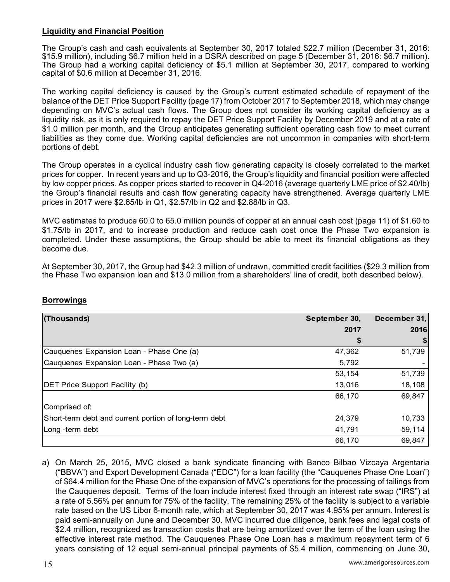### **Liquidity and Financial Position**

The Group's cash and cash equivalents at September 30, 2017 totaled \$22.7 million (December 31, 2016: \$15.9 million), including \$6.7 million held in a DSRA described on page 5 (December 31, 2016: \$6.7 million). The Group had a working capital deficiency of \$5.1 million at September 30, 2017, compared to working capital of \$0.6 million at December 31, 2016.

The working capital deficiency is caused by the Group's current estimated schedule of repayment of the balance of the DET Price Support Facility (page 17) from October 2017 to September 2018, which may change depending on MVC's actual cash flows. The Group does not consider its working capital deficiency as a liquidity risk, as it is only required to repay the DET Price Support Facility by December 2019 and at a rate of \$1.0 million per month, and the Group anticipates generating sufficient operating cash flow to meet current liabilities as they come due. Working capital deficiencies are not uncommon in companies with short-term portions of debt.

The Group operates in a cyclical industry cash flow generating capacity is closely correlated to the market prices for copper. In recent years and up to Q3-2016, the Group's liquidity and financial position were affected by low copper prices. As copper prices started to recover in Q4-2016 (average quarterly LME price of \$2.40/lb) the Group's financial results and cash flow generating capacity have strengthened. Average quarterly LME prices in 2017 were \$2.65/lb in Q1, \$2.57/lb in Q2 and \$2.88/lb in Q3.

MVC estimates to produce 60.0 to 65.0 million pounds of copper at an annual cash cost (page 11) of \$1.60 to \$1.75/lb in 2017, and to increase production and reduce cash cost once the Phase Two expansion is completed. Under these assumptions, the Group should be able to meet its financial obligations as they become due.

At September 30, 2017, the Group had \$42.3 million of undrawn, committed credit facilities (\$29.3 million from the Phase Two expansion loan and \$13.0 million from a shareholders' line of credit, both described below).

| (Thousands)                                           | September 30, | December 31, |
|-------------------------------------------------------|---------------|--------------|
|                                                       | 2017          | 2016         |
|                                                       |               |              |
| Cauquenes Expansion Loan - Phase One (a)              | 47,362        | 51,739       |
| Cauquenes Expansion Loan - Phase Two (a)              | 5,792         |              |
|                                                       | 53,154        | 51,739       |
| <b>DET Price Support Facility (b)</b>                 | 13,016        | 18,108       |
|                                                       | 66,170        | 69,847       |
| Comprised of:                                         |               |              |
| Short-term debt and current portion of long-term debt | 24,379        | 10,733       |
| Long -term debt                                       | 41,791        | 59,114       |
|                                                       | 66,170        | 69,847       |

### **Borrowings**

a) On March 25, 2015, MVC closed a bank syndicate financing with Banco Bilbao Vizcaya Argentaria ("BBVA") and Export Development Canada ("EDC") for a loan facility (the "Cauquenes Phase One Loan") of \$64.4 million for the Phase One of the expansion of MVC's operations for the processing of tailings from the Cauquenes deposit. Terms of the loan include interest fixed through an interest rate swap ("IRS") at a rate of 5.56% per annum for 75% of the facility. The remaining 25% of the facility is subject to a variable rate based on the US Libor 6-month rate, which at September 30, 2017 was 4.95% per annum. Interest is paid semi-annually on June and December 30. MVC incurred due diligence, bank fees and legal costs of \$2.4 million, recognized as transaction costs that are being amortized over the term of the loan using the effective interest rate method. The Cauquenes Phase One Loan has a maximum repayment term of 6 years consisting of 12 equal semi-annual principal payments of \$5.4 million, commencing on June 30,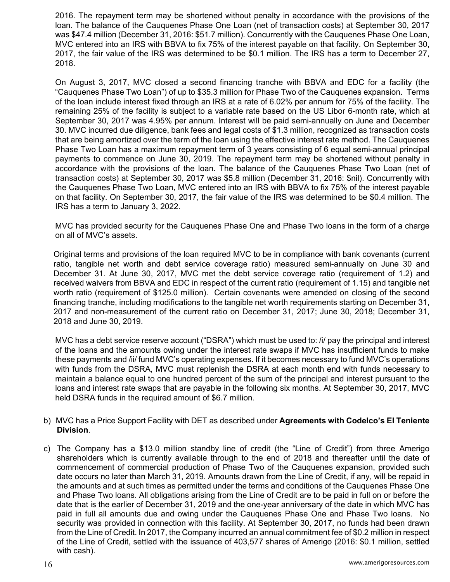2016. The repayment term may be shortened without penalty in accordance with the provisions of the loan. The balance of the Cauquenes Phase One Loan (net of transaction costs) at September 30, 2017 was \$47.4 million (December 31, 2016: \$51.7 million). Concurrently with the Cauquenes Phase One Loan, MVC entered into an IRS with BBVA to fix 75% of the interest payable on that facility. On September 30, 2017, the fair value of the IRS was determined to be \$0.1 million. The IRS has a term to December 27, 2018.

On August 3, 2017, MVC closed a second financing tranche with BBVA and EDC for a facility (the "Cauquenes Phase Two Loan") of up to \$35.3 million for Phase Two of the Cauquenes expansion. Terms of the loan include interest fixed through an IRS at a rate of 6.02% per annum for 75% of the facility. The remaining 25% of the facility is subject to a variable rate based on the US Libor 6-month rate, which at September 30, 2017 was 4.95% per annum. Interest will be paid semi-annually on June and December 30. MVC incurred due diligence, bank fees and legal costs of \$1.3 million, recognized as transaction costs that are being amortized over the term of the loan using the effective interest rate method. The Cauquenes Phase Two Loan has a maximum repayment term of 3 years consisting of 6 equal semi-annual principal payments to commence on June 30, 2019. The repayment term may be shortened without penalty in accordance with the provisions of the loan. The balance of the Cauquenes Phase Two Loan (net of transaction costs) at September 30, 2017 was \$5.8 million (December 31, 2016: \$nil). Concurrently with the Cauquenes Phase Two Loan, MVC entered into an IRS with BBVA to fix 75% of the interest payable on that facility. On September 30, 2017, the fair value of the IRS was determined to be \$0.4 million. The IRS has a term to January 3, 2022.

MVC has provided security for the Cauquenes Phase One and Phase Two loans in the form of a charge on all of MVC's assets.

Original terms and provisions of the loan required MVC to be in compliance with bank covenants (current ratio, tangible net worth and debt service coverage ratio) measured semi-annually on June 30 and December 31. At June 30, 2017, MVC met the debt service coverage ratio (requirement of 1.2) and received waivers from BBVA and EDC in respect of the current ratio (requirement of 1.15) and tangible net worth ratio (requirement of \$125.0 million). Certain covenants were amended on closing of the second financing tranche, including modifications to the tangible net worth requirements starting on December 31, 2017 and non-measurement of the current ratio on December 31, 2017; June 30, 2018; December 31, 2018 and June 30, 2019.

MVC has a debt service reserve account ("DSRA") which must be used to: /i/ pay the principal and interest of the loans and the amounts owing under the interest rate swaps if MVC has insufficient funds to make these payments and /ii/ fund MVC's operating expenses. If it becomes necessary to fund MVC's operations with funds from the DSRA, MVC must replenish the DSRA at each month end with funds necessary to maintain a balance equal to one hundred percent of the sum of the principal and interest pursuant to the loans and interest rate swaps that are payable in the following six months. At September 30, 2017, MVC held DSRA funds in the required amount of \$6.7 million.

### b) MVC has a Price Support Facility with DET as described under **Agreements with Codelco's El Teniente Division**.

c) The Company has a \$13.0 million standby line of credit (the "Line of Credit") from three Amerigo shareholders which is currently available through to the end of 2018 and thereafter until the date of commencement of commercial production of Phase Two of the Cauquenes expansion, provided such date occurs no later than March 31, 2019. Amounts drawn from the Line of Credit, if any, will be repaid in the amounts and at such times as permitted under the terms and conditions of the Cauquenes Phase One and Phase Two loans. All obligations arising from the Line of Credit are to be paid in full on or before the date that is the earlier of December 31, 2019 and the one-year anniversary of the date in which MVC has paid in full all amounts due and owing under the Cauquenes Phase One and Phase Two loans. No security was provided in connection with this facility. At September 30, 2017, no funds had been drawn from the Line of Credit. In 2017, the Company incurred an annual commitment fee of \$0.2 million in respect of the Line of Credit, settled with the issuance of 403,577 shares of Amerigo (2016: \$0.1 million, settled with cash).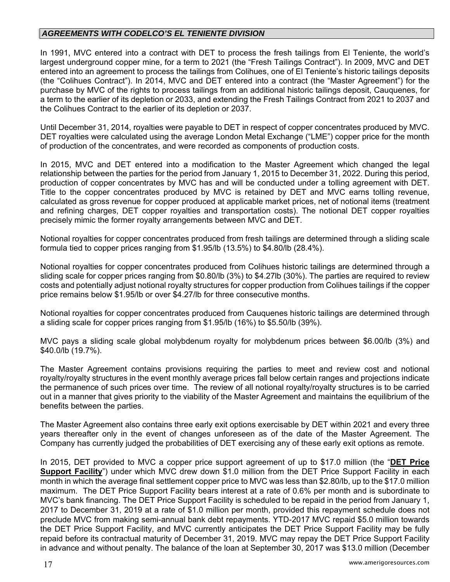## *AGREEMENTS WITH CODELCO'S EL TENIENTE DIVISION*

In 1991, MVC entered into a contract with DET to process the fresh tailings from El Teniente, the world's largest underground copper mine, for a term to 2021 (the "Fresh Tailings Contract"). In 2009, MVC and DET entered into an agreement to process the tailings from Colihues, one of El Teniente's historic tailings deposits (the "Colihues Contract"). In 2014, MVC and DET entered into a contract (the "Master Agreement") for the purchase by MVC of the rights to process tailings from an additional historic tailings deposit, Cauquenes, for a term to the earlier of its depletion or 2033, and extending the Fresh Tailings Contract from 2021 to 2037 and the Colihues Contract to the earlier of its depletion or 2037.

Until December 31, 2014, royalties were payable to DET in respect of copper concentrates produced by MVC. DET royalties were calculated using the average London Metal Exchange ("LME") copper price for the month of production of the concentrates, and were recorded as components of production costs.

In 2015, MVC and DET entered into a modification to the Master Agreement which changed the legal relationship between the parties for the period from January 1, 2015 to December 31, 2022. During this period, production of copper concentrates by MVC has and will be conducted under a tolling agreement with DET. Title to the copper concentrates produced by MVC is retained by DET and MVC earns tolling revenue, calculated as gross revenue for copper produced at applicable market prices, net of notional items (treatment and refining charges, DET copper royalties and transportation costs). The notional DET copper royalties precisely mimic the former royalty arrangements between MVC and DET.

Notional royalties for copper concentrates produced from fresh tailings are determined through a sliding scale formula tied to copper prices ranging from \$1.95/lb (13.5%) to \$4.80/lb (28.4%).

Notional royalties for copper concentrates produced from Colihues historic tailings are determined through a sliding scale for copper prices ranging from \$0.80/lb (3%) to \$4.27lb (30%). The parties are required to review costs and potentially adjust notional royalty structures for copper production from Colihues tailings if the copper price remains below \$1.95/lb or over \$4.27/lb for three consecutive months.

Notional royalties for copper concentrates produced from Cauquenes historic tailings are determined through a sliding scale for copper prices ranging from \$1.95/lb (16%) to \$5.50/lb (39%).

MVC pays a sliding scale global molybdenum royalty for molybdenum prices between \$6.00/lb (3%) and \$40.0/lb (19.7%).

The Master Agreement contains provisions requiring the parties to meet and review cost and notional royalty/royalty structures in the event monthly average prices fall below certain ranges and projections indicate the permanence of such prices over time. The review of all notional royalty/royalty structures is to be carried out in a manner that gives priority to the viability of the Master Agreement and maintains the equilibrium of the benefits between the parties.

The Master Agreement also contains three early exit options exercisable by DET within 2021 and every three years thereafter only in the event of changes unforeseen as of the date of the Master Agreement. The Company has currently judged the probabilities of DET exercising any of these early exit options as remote.

In 2015, DET provided to MVC a copper price support agreement of up to \$17.0 million (the "**DET Price Support Facility**") under which MVC drew down \$1.0 million from the DET Price Support Facility in each month in which the average final settlement copper price to MVC was less than \$2.80/lb, up to the \$17.0 million maximum. The DET Price Support Facility bears interest at a rate of 0.6% per month and is subordinate to MVC's bank financing. The DET Price Support Facility is scheduled to be repaid in the period from January 1, 2017 to December 31, 2019 at a rate of \$1.0 million per month, provided this repayment schedule does not preclude MVC from making semi-annual bank debt repayments. YTD-2017 MVC repaid \$5.0 million towards the DET Price Support Facility, and MVC currently anticipates the DET Price Support Facility may be fully repaid before its contractual maturity of December 31, 2019. MVC may repay the DET Price Support Facility in advance and without penalty. The balance of the loan at September 30, 2017 was \$13.0 million (December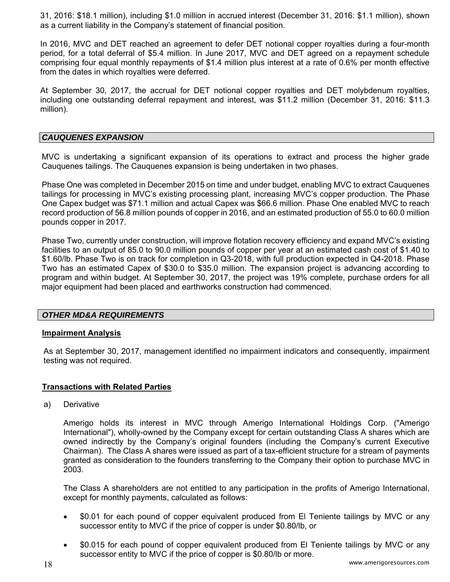31, 2016: \$18.1 million), including \$1.0 million in accrued interest (December 31, 2016: \$1.1 million), shown as a current liability in the Company's statement of financial position.

In 2016, MVC and DET reached an agreement to defer DET notional copper royalties during a four-month period, for a total deferral of \$5.4 million. In June 2017, MVC and DET agreed on a repayment schedule comprising four equal monthly repayments of \$1.4 million plus interest at a rate of 0.6% per month effective from the dates in which royalties were deferred.

At September 30, 2017, the accrual for DET notional copper royalties and DET molybdenum royalties, including one outstanding deferral repayment and interest, was \$11.2 million (December 31, 2016: \$11.3 million).

#### *CAUQUENES EXPANSION*

MVC is undertaking a significant expansion of its operations to extract and process the higher grade Cauquenes tailings. The Cauquenes expansion is being undertaken in two phases.

Phase One was completed in December 2015 on time and under budget, enabling MVC to extract Cauquenes tailings for processing in MVC's existing processing plant, increasing MVC's copper production. The Phase One Capex budget was \$71.1 million and actual Capex was \$66.6 million. Phase One enabled MVC to reach record production of 56.8 million pounds of copper in 2016, and an estimated production of 55.0 to 60.0 million pounds copper in 2017.

Phase Two, currently under construction, will improve flotation recovery efficiency and expand MVC's existing facilities to an output of 85.0 to 90.0 million pounds of copper per year at an estimated cash cost of \$1.40 to \$1.60/lb. Phase Two is on track for completion in Q3-2018, with full production expected in Q4-2018. Phase Two has an estimated Capex of \$30.0 to \$35.0 million. The expansion project is advancing according to program and within budget. At September 30, 2017, the project was 19% complete, purchase orders for all major equipment had been placed and earthworks construction had commenced.

### *OTHER MD&A REQUIREMENTS*

#### **Impairment Analysis**

As at September 30, 2017, management identified no impairment indicators and consequently, impairment testing was not required.

#### **Transactions with Related Parties**

a) Derivative

Amerigo holds its interest in MVC through Amerigo International Holdings Corp. ("Amerigo International"), wholly-owned by the Company except for certain outstanding Class A shares which are owned indirectly by the Company's original founders (including the Company's current Executive Chairman). The Class A shares were issued as part of a tax-efficient structure for a stream of payments granted as consideration to the founders transferring to the Company their option to purchase MVC in 2003.

The Class A shareholders are not entitled to any participation in the profits of Amerigo International, except for monthly payments, calculated as follows:

- \$0.01 for each pound of copper equivalent produced from El Teniente tailings by MVC or any successor entity to MVC if the price of copper is under \$0.80/lb, or
- \$0.015 for each pound of copper equivalent produced from El Teniente tailings by MVC or any successor entity to MVC if the price of copper is \$0.80/lb or more.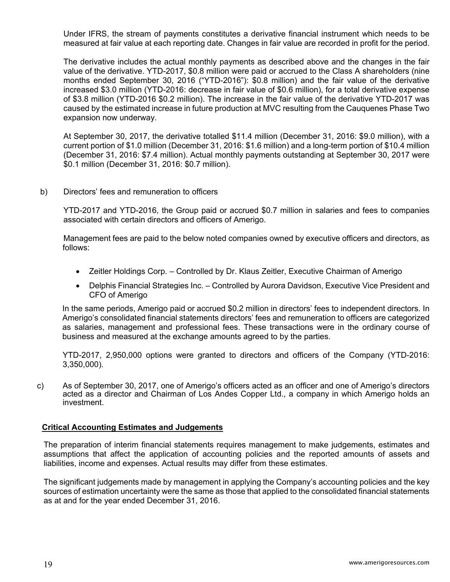Under IFRS, the stream of payments constitutes a derivative financial instrument which needs to be measured at fair value at each reporting date. Changes in fair value are recorded in profit for the period.

The derivative includes the actual monthly payments as described above and the changes in the fair value of the derivative. YTD-2017, \$0.8 million were paid or accrued to the Class A shareholders (nine months ended September 30, 2016 ("YTD-2016"): \$0.8 million) and the fair value of the derivative increased \$3.0 million (YTD-2016: decrease in fair value of \$0.6 million), for a total derivative expense of \$3.8 million (YTD-2016 \$0.2 million). The increase in the fair value of the derivative YTD-2017 was caused by the estimated increase in future production at MVC resulting from the Cauquenes Phase Two expansion now underway.

At September 30, 2017, the derivative totalled \$11.4 million (December 31, 2016: \$9.0 million), with a current portion of \$1.0 million (December 31, 2016: \$1.6 million) and a long-term portion of \$10.4 million (December 31, 2016: \$7.4 million). Actual monthly payments outstanding at September 30, 2017 were \$0.1 million (December 31, 2016: \$0.7 million).

b) Directors' fees and remuneration to officers

 YTD-2017 and YTD-2016, the Group paid or accrued \$0.7 million in salaries and fees to companies associated with certain directors and officers of Amerigo.

 Management fees are paid to the below noted companies owned by executive officers and directors, as follows:

- Zeitler Holdings Corp. Controlled by Dr. Klaus Zeitler, Executive Chairman of Amerigo
- Delphis Financial Strategies Inc. Controlled by Aurora Davidson, Executive Vice President and CFO of Amerigo

In the same periods, Amerigo paid or accrued \$0.2 million in directors' fees to independent directors. In Amerigo's consolidated financial statements directors' fees and remuneration to officers are categorized as salaries, management and professional fees. These transactions were in the ordinary course of business and measured at the exchange amounts agreed to by the parties.

YTD-2017, 2,950,000 options were granted to directors and officers of the Company (YTD-2016: 3,350,000).

c) As of September 30, 2017, one of Amerigo's officers acted as an officer and one of Amerigo's directors acted as a director and Chairman of Los Andes Copper Ltd., a company in which Amerigo holds an investment.

#### **Critical Accounting Estimates and Judgements**

The preparation of interim financial statements requires management to make judgements, estimates and assumptions that affect the application of accounting policies and the reported amounts of assets and liabilities, income and expenses. Actual results may differ from these estimates.

The significant judgements made by management in applying the Company's accounting policies and the key sources of estimation uncertainty were the same as those that applied to the consolidated financial statements as at and for the year ended December 31, 2016.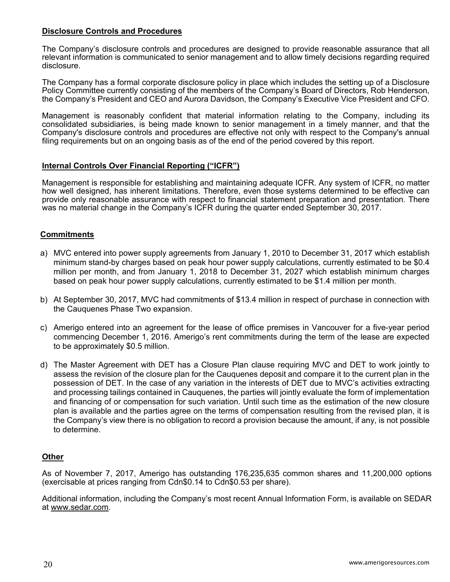### **Disclosure Controls and Procedures**

The Company's disclosure controls and procedures are designed to provide reasonable assurance that all relevant information is communicated to senior management and to allow timely decisions regarding required disclosure.

The Company has a formal corporate disclosure policy in place which includes the setting up of a Disclosure Policy Committee currently consisting of the members of the Company's Board of Directors, Rob Henderson, the Company's President and CEO and Aurora Davidson, the Company's Executive Vice President and CFO.

Management is reasonably confident that material information relating to the Company, including its consolidated subsidiaries, is being made known to senior management in a timely manner, and that the Company's disclosure controls and procedures are effective not only with respect to the Company's annual filing requirements but on an ongoing basis as of the end of the period covered by this report.

#### **Internal Controls Over Financial Reporting ("ICFR")**

Management is responsible for establishing and maintaining adequate ICFR. Any system of ICFR, no matter how well designed, has inherent limitations. Therefore, even those systems determined to be effective can provide only reasonable assurance with respect to financial statement preparation and presentation. There was no material change in the Company's ICFR during the quarter ended September 30, 2017.

#### **Commitments**

- a) MVC entered into power supply agreements from January 1, 2010 to December 31, 2017 which establish minimum stand-by charges based on peak hour power supply calculations, currently estimated to be \$0.4 million per month, and from January 1, 2018 to December 31, 2027 which establish minimum charges based on peak hour power supply calculations, currently estimated to be \$1.4 million per month.
- b) At September 30, 2017, MVC had commitments of \$13.4 million in respect of purchase in connection with the Cauquenes Phase Two expansion.
- c) Amerigo entered into an agreement for the lease of office premises in Vancouver for a five-year period commencing December 1, 2016. Amerigo's rent commitments during the term of the lease are expected to be approximately \$0.5 million.
- d) The Master Agreement with DET has a Closure Plan clause requiring MVC and DET to work jointly to assess the revision of the closure plan for the Cauquenes deposit and compare it to the current plan in the possession of DET. In the case of any variation in the interests of DET due to MVC's activities extracting and processing tailings contained in Cauquenes, the parties will jointly evaluate the form of implementation and financing of or compensation for such variation. Until such time as the estimation of the new closure plan is available and the parties agree on the terms of compensation resulting from the revised plan, it is the Company's view there is no obligation to record a provision because the amount, if any, is not possible to determine.

### **Other**

As of November 7, 2017, Amerigo has outstanding 176,235,635 common shares and 11,200,000 options (exercisable at prices ranging from Cdn\$0.14 to Cdn\$0.53 per share).

Additional information, including the Company's most recent Annual Information Form, is available on SEDAR at www.sedar.com.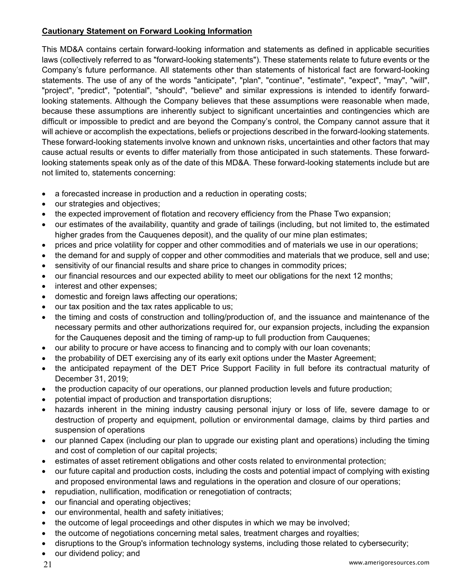# **Cautionary Statement on Forward Looking Information**

This MD&A contains certain forward-looking information and statements as defined in applicable securities laws (collectively referred to as "forward-looking statements"). These statements relate to future events or the Company's future performance. All statements other than statements of historical fact are forward-looking statements. The use of any of the words "anticipate", "plan", "continue", "estimate", "expect", "may", "will", "project", "predict", "potential", "should", "believe" and similar expressions is intended to identify forwardlooking statements. Although the Company believes that these assumptions were reasonable when made, because these assumptions are inherently subject to significant uncertainties and contingencies which are difficult or impossible to predict and are beyond the Company's control, the Company cannot assure that it will achieve or accomplish the expectations, beliefs or projections described in the forward-looking statements. These forward-looking statements involve known and unknown risks, uncertainties and other factors that may cause actual results or events to differ materially from those anticipated in such statements. These forwardlooking statements speak only as of the date of this MD&A. These forward-looking statements include but are not limited to, statements concerning:

- a forecasted increase in production and a reduction in operating costs;
- our strategies and objectives;
- the expected improvement of flotation and recovery efficiency from the Phase Two expansion;
- our estimates of the availability, quantity and grade of tailings (including, but not limited to, the estimated higher grades from the Cauquenes deposit), and the quality of our mine plan estimates;
- prices and price volatility for copper and other commodities and of materials we use in our operations;
- the demand for and supply of copper and other commodities and materials that we produce, sell and use;
- sensitivity of our financial results and share price to changes in commodity prices;
- our financial resources and our expected ability to meet our obligations for the next 12 months;
- interest and other expenses;
- domestic and foreign laws affecting our operations;
- our tax position and the tax rates applicable to us;
- the timing and costs of construction and tolling/production of, and the issuance and maintenance of the necessary permits and other authorizations required for, our expansion projects, including the expansion for the Cauquenes deposit and the timing of ramp-up to full production from Cauquenes;
- our ability to procure or have access to financing and to comply with our loan covenants;
- the probability of DET exercising any of its early exit options under the Master Agreement;
- the anticipated repayment of the DET Price Support Facility in full before its contractual maturity of December 31, 2019;
- the production capacity of our operations, our planned production levels and future production;
- potential impact of production and transportation disruptions;
- hazards inherent in the mining industry causing personal injury or loss of life, severe damage to or destruction of property and equipment, pollution or environmental damage, claims by third parties and suspension of operations
- our planned Capex (including our plan to upgrade our existing plant and operations) including the timing and cost of completion of our capital projects;
- estimates of asset retirement obligations and other costs related to environmental protection;
- our future capital and production costs, including the costs and potential impact of complying with existing and proposed environmental laws and regulations in the operation and closure of our operations;
- repudiation, nullification, modification or renegotiation of contracts;
- our financial and operating objectives;
- our environmental, health and safety initiatives;
- the outcome of legal proceedings and other disputes in which we may be involved;
- the outcome of negotiations concerning metal sales, treatment charges and royalties;
- disruptions to the Group's information technology systems, including those related to cybersecurity;
- our dividend policy; and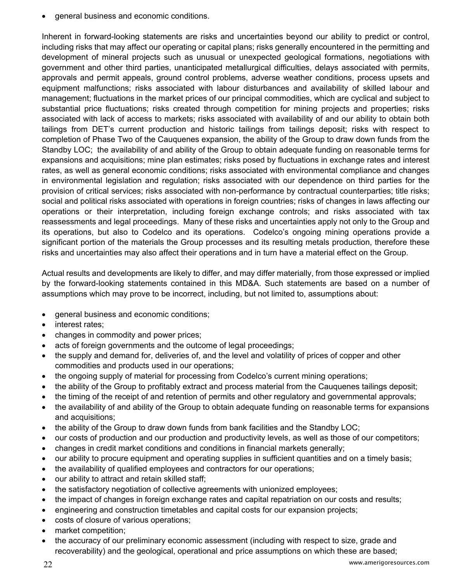general business and economic conditions.

Inherent in forward-looking statements are risks and uncertainties beyond our ability to predict or control, including risks that may affect our operating or capital plans; risks generally encountered in the permitting and development of mineral projects such as unusual or unexpected geological formations, negotiations with government and other third parties, unanticipated metallurgical difficulties, delays associated with permits, approvals and permit appeals, ground control problems, adverse weather conditions, process upsets and equipment malfunctions; risks associated with labour disturbances and availability of skilled labour and management; fluctuations in the market prices of our principal commodities, which are cyclical and subject to substantial price fluctuations; risks created through competition for mining projects and properties; risks associated with lack of access to markets; risks associated with availability of and our ability to obtain both tailings from DET's current production and historic tailings from tailings deposit; risks with respect to completion of Phase Two of the Cauquenes expansion, the ability of the Group to draw down funds from the Standby LOC; the availability of and ability of the Group to obtain adequate funding on reasonable terms for expansions and acquisitions; mine plan estimates; risks posed by fluctuations in exchange rates and interest rates, as well as general economic conditions; risks associated with environmental compliance and changes in environmental legislation and regulation; risks associated with our dependence on third parties for the provision of critical services; risks associated with non-performance by contractual counterparties; title risks; social and political risks associated with operations in foreign countries; risks of changes in laws affecting our operations or their interpretation, including foreign exchange controls; and risks associated with tax reassessments and legal proceedings. Many of these risks and uncertainties apply not only to the Group and its operations, but also to Codelco and its operations. Codelco's ongoing mining operations provide a significant portion of the materials the Group processes and its resulting metals production, therefore these risks and uncertainties may also affect their operations and in turn have a material effect on the Group.

Actual results and developments are likely to differ, and may differ materially, from those expressed or implied by the forward-looking statements contained in this MD&A. Such statements are based on a number of assumptions which may prove to be incorrect, including, but not limited to, assumptions about:

- general business and economic conditions;
- interest rates:
- changes in commodity and power prices;
- acts of foreign governments and the outcome of legal proceedings;
- the supply and demand for, deliveries of, and the level and volatility of prices of copper and other commodities and products used in our operations;
- the ongoing supply of material for processing from Codelco's current mining operations;
- the ability of the Group to profitably extract and process material from the Cauquenes tailings deposit;
- the timing of the receipt of and retention of permits and other regulatory and governmental approvals;
- the availability of and ability of the Group to obtain adequate funding on reasonable terms for expansions and acquisitions;
- $\bullet$  the ability of the Group to draw down funds from bank facilities and the Standby LOC;
- our costs of production and our production and productivity levels, as well as those of our competitors;
- changes in credit market conditions and conditions in financial markets generally;
- our ability to procure equipment and operating supplies in sufficient quantities and on a timely basis;
- the availability of qualified employees and contractors for our operations;
- our ability to attract and retain skilled staff;
- the satisfactory negotiation of collective agreements with unionized employees;
- the impact of changes in foreign exchange rates and capital repatriation on our costs and results;
- engineering and construction timetables and capital costs for our expansion projects;
- costs of closure of various operations;
- market competition;
- the accuracy of our preliminary economic assessment (including with respect to size, grade and recoverability) and the geological, operational and price assumptions on which these are based;